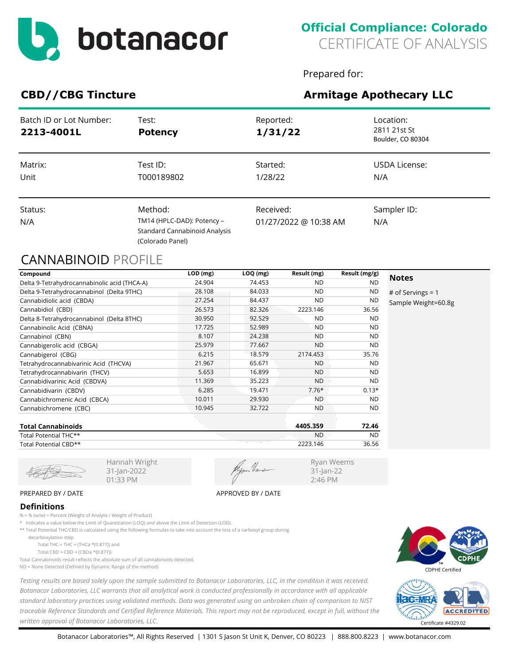

Prepared for:

Ryan Weems 31-Jan-22 2:46 PM

# CBD//CBG Tincture **Armitage Apothecary LLC**

| Batch ID or Lot Number:<br>2213-4001L | Test:<br><b>Potency</b>                                                                    | Reported:<br>1/31/22               | Location:<br>2811 21st St<br>Boulder, CO 80304 |
|---------------------------------------|--------------------------------------------------------------------------------------------|------------------------------------|------------------------------------------------|
| Matrix:<br>Unit                       | Test ID:<br>T000189802                                                                     | Started:<br>1/28/22                | USDA License:<br>N/A                           |
| Status:<br>N/A                        | Method:<br>TM14 (HPLC-DAD): Potency -<br>Standard Cannabinoid Analysis<br>(Colorado Panel) | Received:<br>01/27/2022 @ 10:38 AM | Sampler ID:<br>N/A                             |

## CANNABINOID PROFILE

| Compound                                     | $LOD$ (mg) | $LOQ$ (mg) | Result (mg) | Result (mg/g) |                     |
|----------------------------------------------|------------|------------|-------------|---------------|---------------------|
| Delta 9-Tetrahydrocannabinolic acid (THCA-A) | 24.904     | 74.453     | ND.         | <b>ND</b>     | <b>Notes</b>        |
| Delta 9-Tetrahydrocannabinol (Delta 9THC)    | 28.108     | 84.033     | <b>ND</b>   | <b>ND</b>     | # of Servings = $1$ |
| Cannabidiolic acid (CBDA)                    | 27.254     | 84.437     | <b>ND</b>   | <b>ND</b>     | Sample Weight=60.8g |
| Cannabidiol (CBD)                            | 26.573     | 82.326     | 2223.146    | 36.56         |                     |
| Delta 8-Tetrahydrocannabinol (Delta 8THC)    | 30.950     | 92.529     | <b>ND</b>   | <b>ND</b>     |                     |
| Cannabinolic Acid (CBNA)                     | 17.725     | 52.989     | <b>ND</b>   | <b>ND</b>     |                     |
| Cannabinol (CBN)                             | 8.107      | 24.238     | <b>ND</b>   | <b>ND</b>     |                     |
| Cannabigerolic acid (CBGA)                   | 25.979     | 77.667     | <b>ND</b>   | <b>ND</b>     |                     |
| Cannabigerol (CBG)                           | 6.215      | 18.579     | 2174.453    | 35.76         |                     |
| Tetrahydrocannabivarinic Acid (THCVA)        | 21.967     | 65.671     | <b>ND</b>   | <b>ND</b>     |                     |
| Tetrahydrocannabivarin (THCV)                | 5.653      | 16.899     | <b>ND</b>   | <b>ND</b>     |                     |
| Cannabidivarinic Acid (CBDVA)                | 11.369     | 35.223     | <b>ND</b>   | <b>ND</b>     |                     |
| Cannabidivarin (CBDV)                        | 6.285      | 19.471     | $7.76*$     | $0.13*$       |                     |
| Cannabichromenic Acid (CBCA)                 | 10.011     | 29.930     | <b>ND</b>   | <b>ND</b>     |                     |
| Cannabichromene (CBC)                        | 10.945     | 32.722     | ND.         | <b>ND</b>     |                     |
|                                              |            |            |             |               |                     |

| <b>Total Cannabinoids</b> | 4405.359  | 72.46     |
|---------------------------|-----------|-----------|
| Total Potential THC**     | <b>ND</b> | <b>ND</b> |
| Total Potential CBD**     | 2223.146  | 36.56     |

31-Jan-2022 01:33 PM

#### PREPARED BY / DATE APPROVED BY / DATE

### **Definitions**

% = % (w/w) = Percent (Weight of Analyte / Weight of Product)

\* Indicates a value below the Limit of Quantitiation (LOQ) and above the Limit of Detection (LOD).

Hannah Wright

\*\* Total Potential THC/CBD is calculated using the following formulas to take into account the loss of a carboxyl group during

decarboxylation step.

Total THC = THC + (THCa  $*(0.877)$ ) and

Total CBD = CBD + (CBDa \*(0.877))

Total Cannabinoids result reflects the absolute sum of all cannabinoids detected.

ND = None Detected (Defined by Dynamic Range of the method)

*Testing results are based solely upon the sample submitted to Botanacor Laboratories, LLC, in the condition it was received. Botanacor Laboratories, LLC warrants that all analytical work is conducted professionally in accordance with all applicable standard laboratory practices using validated methods. Data was generated using an unbroken chain of comparison to NIST traceable Reference Standards and Certified Reference Materials. This report may not be reproduced, except in full, without the written approval of Botanacor Laboratories, LLC.* Certificate #4329.02